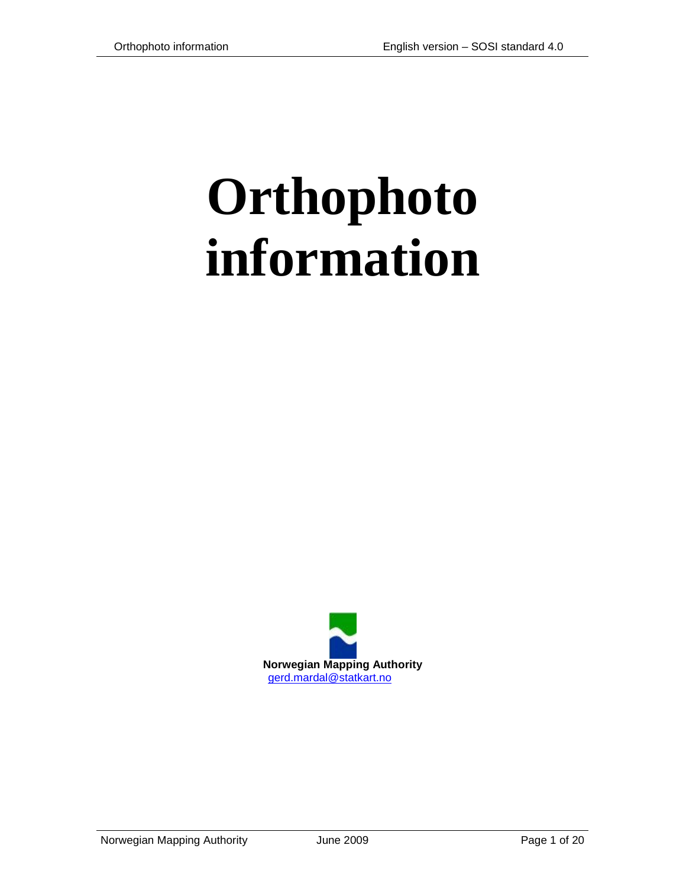# **Orthophoto information**

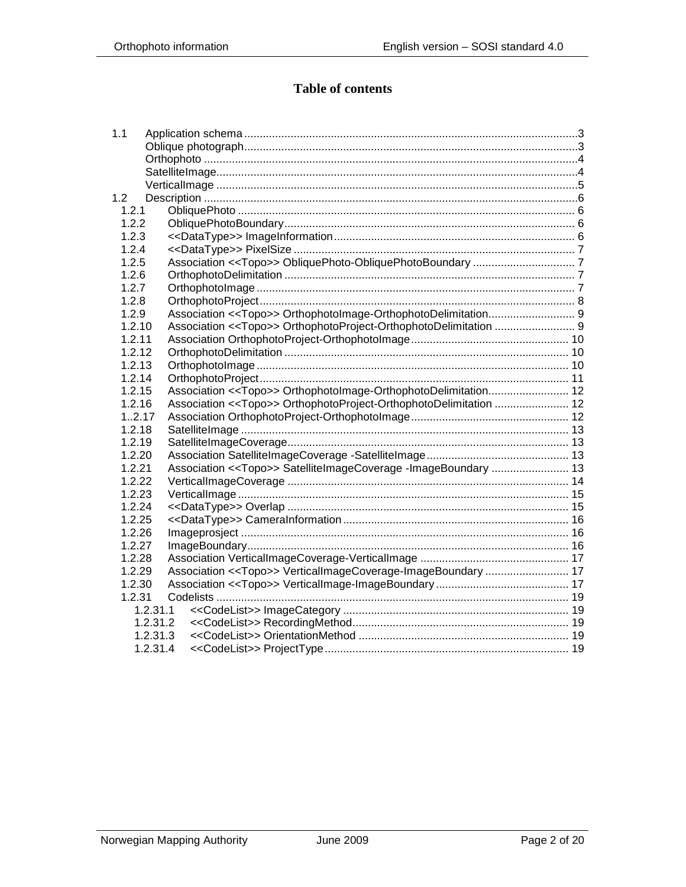## **Table of contents**

| 1.1    |          |                                                                              |  |
|--------|----------|------------------------------------------------------------------------------|--|
|        |          |                                                                              |  |
|        |          |                                                                              |  |
|        |          |                                                                              |  |
|        |          |                                                                              |  |
| 1.2    |          |                                                                              |  |
| 1.2.1  |          |                                                                              |  |
| 1.2.2  |          |                                                                              |  |
| 1.2.3  |          |                                                                              |  |
| 1.2.4  |          |                                                                              |  |
| 1.2.5  |          |                                                                              |  |
| 1.2.6  |          |                                                                              |  |
| 1.2.7  |          |                                                                              |  |
| 1.2.8  |          |                                                                              |  |
| 1.2.9  |          |                                                                              |  |
| 1.2.10 |          | Association << Topo>> OrthophotoProject-OrthophotoDelimitation  9            |  |
| 1.2.11 |          |                                                                              |  |
| 1.2.12 |          |                                                                              |  |
| 1.2.13 |          |                                                                              |  |
| 1.2.14 |          |                                                                              |  |
| 1.2.15 |          |                                                                              |  |
| 1.2.16 |          | Association < <topo>&gt; OrthophotoProject-OrthophotoDelimitation  12</topo> |  |
| 1.2.17 |          |                                                                              |  |
| 1.2.18 |          |                                                                              |  |
| 1.2.19 |          |                                                                              |  |
| 1.2.20 |          |                                                                              |  |
| 1.2.21 |          | Association < <topo>&gt; SatelliteImageCoverage -ImageBoundary  13</topo>    |  |
| 1.2.22 |          |                                                                              |  |
| 1.2.23 |          |                                                                              |  |
| 1.2.24 |          |                                                                              |  |
| 1.2.25 |          |                                                                              |  |
| 1.2.26 |          |                                                                              |  |
| 1.2.27 |          |                                                                              |  |
| 1.2.28 |          |                                                                              |  |
| 1.2.29 |          | Association << Topo>> VerticalImageCoverage-ImageBoundary  17                |  |
| 1.2.30 |          |                                                                              |  |
| 1.2.31 |          |                                                                              |  |
|        | 1.2.31.1 |                                                                              |  |
|        | 1.2.31.2 |                                                                              |  |
|        | 1.2.31.3 |                                                                              |  |
|        | 1.2.31.4 |                                                                              |  |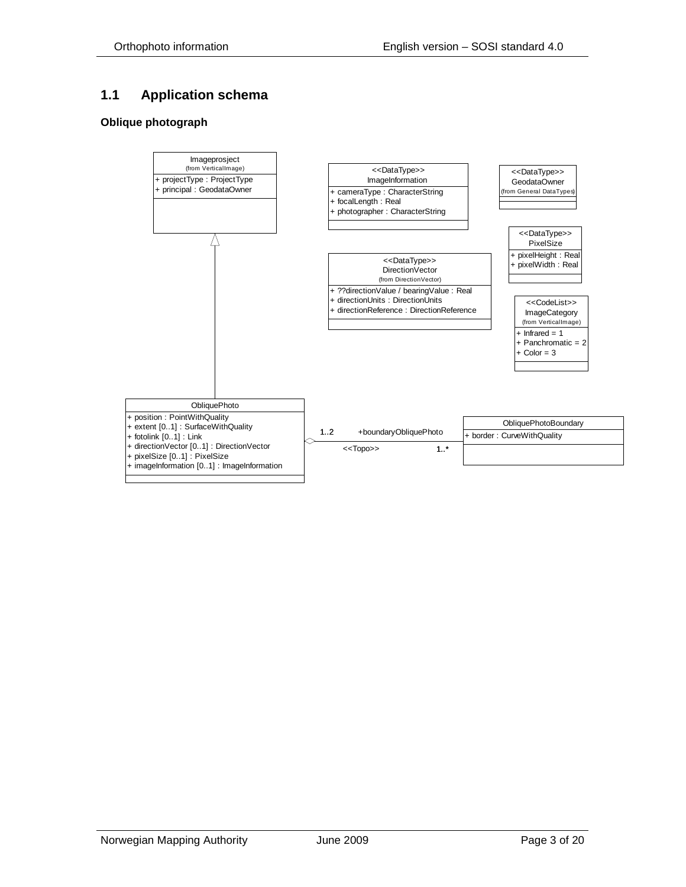## <span id="page-2-0"></span>**1.1 Application schema**

#### <span id="page-2-1"></span>**Oblique photograph**

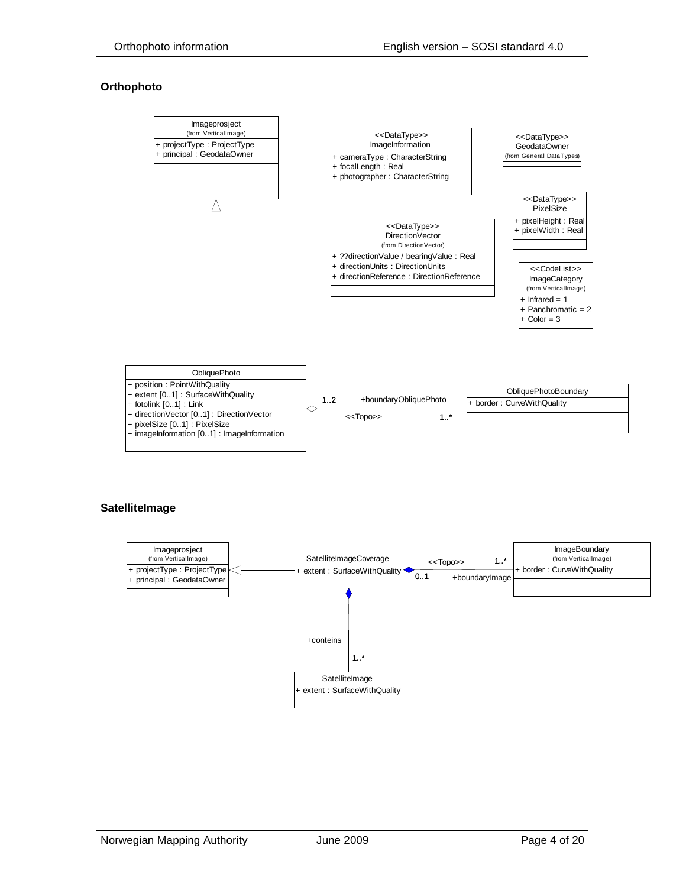#### <span id="page-3-0"></span>**Orthophoto**



#### <span id="page-3-1"></span>**SatelliteImage**

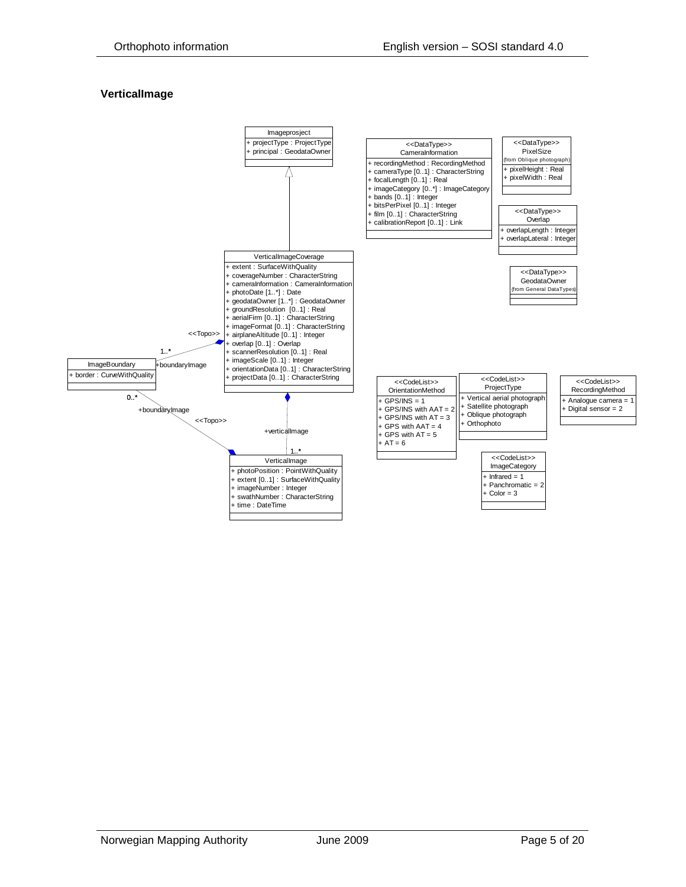#### <span id="page-4-0"></span>**VerticalImage**

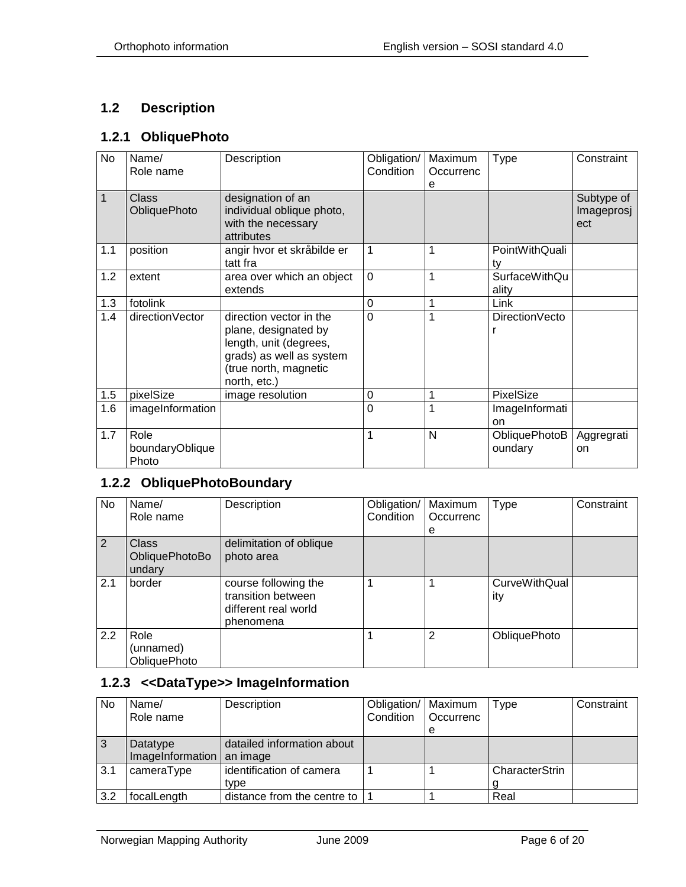#### <span id="page-5-0"></span>**1.2 Description**

#### <span id="page-5-1"></span>**1.2.1 ObliquePhoto**

| <b>No</b> | Name/<br>Role name                  | Description                                                                                                                                    | Obligation/<br>Condition | Maximum<br>Occurrenc<br>e | Type                          | Constraint                      |
|-----------|-------------------------------------|------------------------------------------------------------------------------------------------------------------------------------------------|--------------------------|---------------------------|-------------------------------|---------------------------------|
| 1         | <b>Class</b><br><b>ObliquePhoto</b> | designation of an<br>individual oblique photo,<br>with the necessary<br>attributes                                                             |                          |                           |                               | Subtype of<br>Imageprosj<br>ect |
| 1.1       | position                            | angir hvor et skråbilde er<br>tatt fra                                                                                                         | 1                        | 1                         | PointWithQuali<br>tv          |                                 |
| 1.2       | extent                              | area over which an object<br>extends                                                                                                           | $\overline{0}$           | 1                         | <b>SurfaceWithQu</b><br>ality |                                 |
| 1.3       | fotolink                            |                                                                                                                                                | $\overline{0}$           | 1                         | Link                          |                                 |
| 1.4       | directionVector                     | direction vector in the<br>plane, designated by<br>length, unit (degrees,<br>grads) as well as system<br>(true north, magnetic<br>north, etc.) | 0                        | 1                         | DirectionVecto                |                                 |
| 1.5       | pixelSize                           | image resolution                                                                                                                               | 0                        | 1                         | <b>PixelSize</b>              |                                 |
| 1.6       | imageInformation                    |                                                                                                                                                | 0                        | 1                         | ImageInformati<br>on          |                                 |
| 1.7       | Role<br>boundaryOblique<br>Photo    |                                                                                                                                                | 1                        | N                         | ObliquePhotoB<br>oundary      | Aggregrati<br>on                |

# <span id="page-5-2"></span>**1.2.2 ObliquePhotoBoundary**

| No. | Name/<br>Role name                       | Description                                                                     | Obligation/   Maximum<br>Condition | Occurrenc      | Type                        | Constraint |
|-----|------------------------------------------|---------------------------------------------------------------------------------|------------------------------------|----------------|-----------------------------|------------|
|     |                                          |                                                                                 |                                    | e              |                             |            |
| 2   | <b>Class</b><br>ObliquePhotoBo<br>undary | delimitation of oblique<br>photo area                                           |                                    |                |                             |            |
| 2.1 | border                                   | course following the<br>transition between<br>different real world<br>phenomena |                                    |                | <b>CurveWithQual</b><br>ity |            |
| 2.2 | Role<br>(unnamed)<br><b>ObliquePhoto</b> |                                                                                 |                                    | $\overline{2}$ | ObliquePhoto                |            |

## <span id="page-5-3"></span>**1.2.3 <<DataType>> ImageInformation**

| <b>No</b> | Name/<br>Role name                      | Description                 | Obligation/   Maximum<br>Condition | <b>Occurrenc</b> | <b>Type</b>    | Constraint |
|-----------|-----------------------------------------|-----------------------------|------------------------------------|------------------|----------------|------------|
|           |                                         |                             |                                    | е                |                |            |
| 3         | Datatype<br>ImageInformation   an image | datailed information about  |                                    |                  |                |            |
| 3.1       | cameraType                              | identification of camera    |                                    |                  | CharacterStrin |            |
|           |                                         | type                        |                                    |                  |                |            |
| 3.2       | focalLength                             | distance from the centre to |                                    |                  | Real           |            |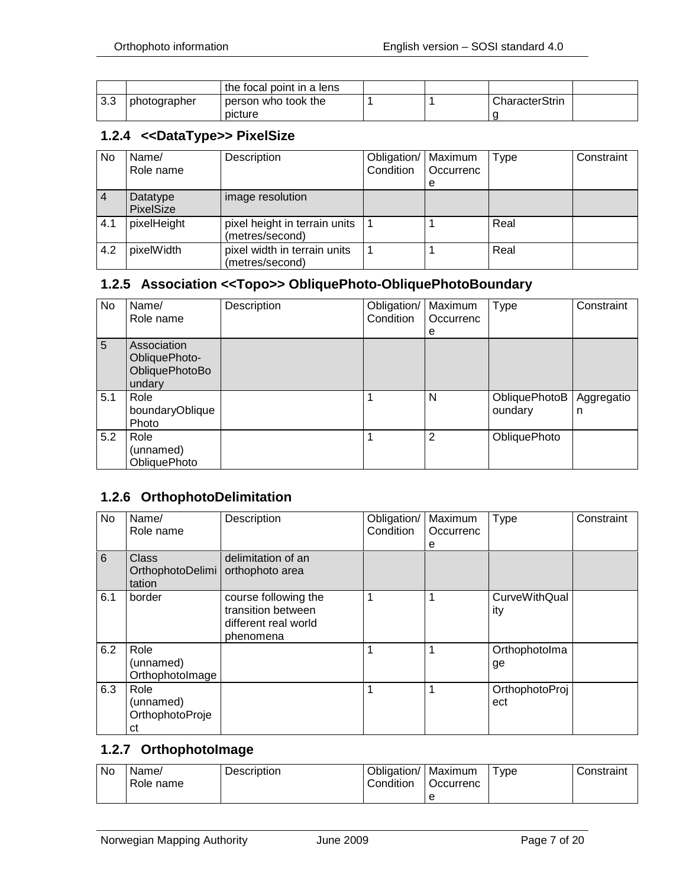|     |              | the focal point in a lens      |  |                |  |
|-----|--------------|--------------------------------|--|----------------|--|
| 3.3 | photographer | person who took the<br>picture |  | CharacterStrin |  |

#### <span id="page-6-0"></span>**1.2.4 <<DataType>> PixelSize**

| No  | Name/<br>Role name           | Description                                      | Obligation/ Maximum<br>Condition | Occurrenc<br>е | Type | Constraint |
|-----|------------------------------|--------------------------------------------------|----------------------------------|----------------|------|------------|
|     | Datatype<br><b>PixelSize</b> | image resolution                                 |                                  |                |      |            |
| 4.1 | pixelHeight                  | pixel height in terrain units<br>(metres/second) |                                  |                | Real |            |
| 4.2 | pixelWidth                   | pixel width in terrain units<br>(metres/second)  |                                  |                | Real |            |

#### <span id="page-6-1"></span>**1.2.5 Association <<Topo>> ObliquePhoto-ObliquePhotoBoundary**

| No. | Name/<br>Role name                                       | Description | Obligation/<br>Condition | Maximum<br>Occurrenc | Type                     | Constraint      |
|-----|----------------------------------------------------------|-------------|--------------------------|----------------------|--------------------------|-----------------|
| 5   | Association<br>ObliquePhoto-<br>ObliquePhotoBo<br>undary |             |                          | е                    |                          |                 |
| 5.1 | Role<br>boundaryOblique<br>Photo                         |             |                          | N                    | ObliquePhotoB<br>oundary | Aggregatio<br>n |
| 5.2 | Role<br>(unnamed)<br><b>ObliquePhoto</b>                 |             |                          | $\overline{2}$       | ObliquePhoto             |                 |

## <span id="page-6-2"></span>**1.2.6 OrthophotoDelimitation**

| No  | Name/<br>Role name                         | Description                                                                     | Obligation/<br>Condition | Maximum<br>Occurrenc<br>е | <b>Type</b>                 | Constraint |
|-----|--------------------------------------------|---------------------------------------------------------------------------------|--------------------------|---------------------------|-----------------------------|------------|
| 6   | <b>Class</b><br>OrthophotoDelimi<br>tation | delimitation of an<br>orthophoto area                                           |                          |                           |                             |            |
| 6.1 | border                                     | course following the<br>transition between<br>different real world<br>phenomena | 1                        |                           | <b>CurveWithQual</b><br>ity |            |
| 6.2 | Role<br>(unnamed)<br>OrthophotoImage       |                                                                                 |                          |                           | Orthophotolma<br>ge         |            |
| 6.3 | Role<br>(unnamed)<br>OrthophotoProje<br>сt |                                                                                 | 1                        |                           | OrthophotoProj<br>ect       |            |

#### <span id="page-6-3"></span>**1.2.7 OrthophotoImage**

| ' No | Name/<br>Role name | <b>Description</b> | Obligation/<br>Condition | '   Maximum<br>Occurrenc | vpe <sup>-</sup> | Constraint |
|------|--------------------|--------------------|--------------------------|--------------------------|------------------|------------|
|      |                    |                    |                          |                          |                  |            |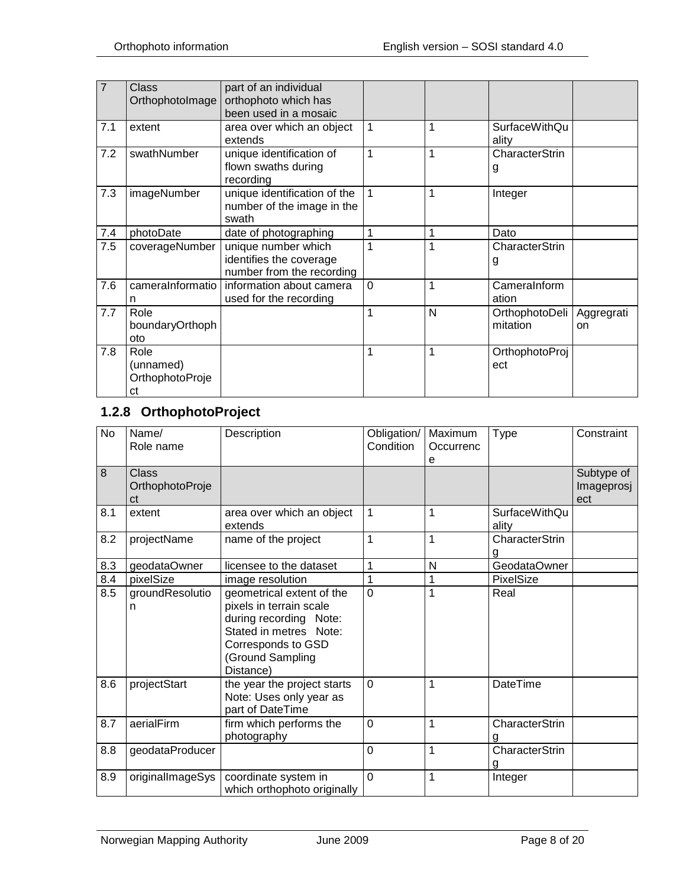| $\overline{7}$ | Class<br>OrthophotoImage                   | part of an individual<br>orthophoto which has<br>been used in a mosaic      |              |   |                            |                  |
|----------------|--------------------------------------------|-----------------------------------------------------------------------------|--------------|---|----------------------------|------------------|
| 7.1            | extent                                     | area over which an object<br>extends                                        | 1            | 1 | SurfaceWithQu<br>ality     |                  |
| 7.2            | swathNumber                                | unique identification of<br>flown swaths during<br>recording                | $\mathbf{1}$ | 1 | CharacterStrin<br>g        |                  |
| 7.3            | imageNumber                                | unique identification of the<br>number of the image in the<br>swath         | 1            | 1 | Integer                    |                  |
| 7.4            | photoDate                                  | date of photographing                                                       | 1            | 1 | Dato                       |                  |
| 7.5            | coverageNumber                             | unique number which<br>identifies the coverage<br>number from the recording | 1            | 1 | CharacterStrin<br>g        |                  |
| 7.6            | cameralnformatio<br>n                      | information about camera<br>used for the recording                          | $\Omega$     | 1 | CameraInform<br>ation      |                  |
| 7.7            | Role<br>boundaryOrthoph<br>oto             |                                                                             | 1            | N | OrthophotoDeli<br>mitation | Aggregrati<br>on |
| 7.8            | Role<br>(unnamed)<br>OrthophotoProje<br>ct |                                                                             | $\mathbf{1}$ | 1 | OrthophotoProj<br>ect      |                  |

# <span id="page-7-0"></span>**1.2.8 OrthophotoProject**

| <b>No</b> | Name/<br>Role name                    | Description                                                                                                                                                     | Obligation/<br>Condition | Maximum<br>Occurrenc<br>е | <b>Type</b>                   | Constraint                      |
|-----------|---------------------------------------|-----------------------------------------------------------------------------------------------------------------------------------------------------------------|--------------------------|---------------------------|-------------------------------|---------------------------------|
| 8         | <b>Class</b><br>OrthophotoProje<br>ct |                                                                                                                                                                 |                          |                           |                               | Subtype of<br>Imageprosj<br>ect |
| 8.1       | extent                                | area over which an object<br>extends                                                                                                                            | 1                        | 1                         | <b>SurfaceWithQu</b><br>ality |                                 |
| 8.2       | projectName                           | name of the project                                                                                                                                             | 1                        | 1                         | CharacterStrin<br>g           |                                 |
| 8.3       | geodataOwner                          | licensee to the dataset                                                                                                                                         | 1                        | N                         | GeodataOwner                  |                                 |
| 8.4       | pixelSize                             | image resolution                                                                                                                                                | 1                        | 1                         | PixelSize                     |                                 |
| 8.5       | groundResolutio<br>n                  | geometrical extent of the<br>pixels in terrain scale<br>during recording Note:<br>Stated in metres Note:<br>Corresponds to GSD<br>(Ground Sampling<br>Distance) | $\overline{0}$           | 1                         | Real                          |                                 |
| 8.6       | projectStart                          | the year the project starts<br>Note: Uses only year as<br>part of DateTime                                                                                      | $\Omega$                 | 1                         | <b>DateTime</b>               |                                 |
| 8.7       | aerialFirm                            | firm which performs the<br>photography                                                                                                                          | $\overline{0}$           | 1                         | CharacterStrin                |                                 |
| 8.8       | geodataProducer                       |                                                                                                                                                                 | 0                        | 1                         | CharacterStrin<br>g           |                                 |
| 8.9       | originalImageSys                      | coordinate system in<br>which orthophoto originally                                                                                                             | $\overline{0}$           | 1                         | Integer                       |                                 |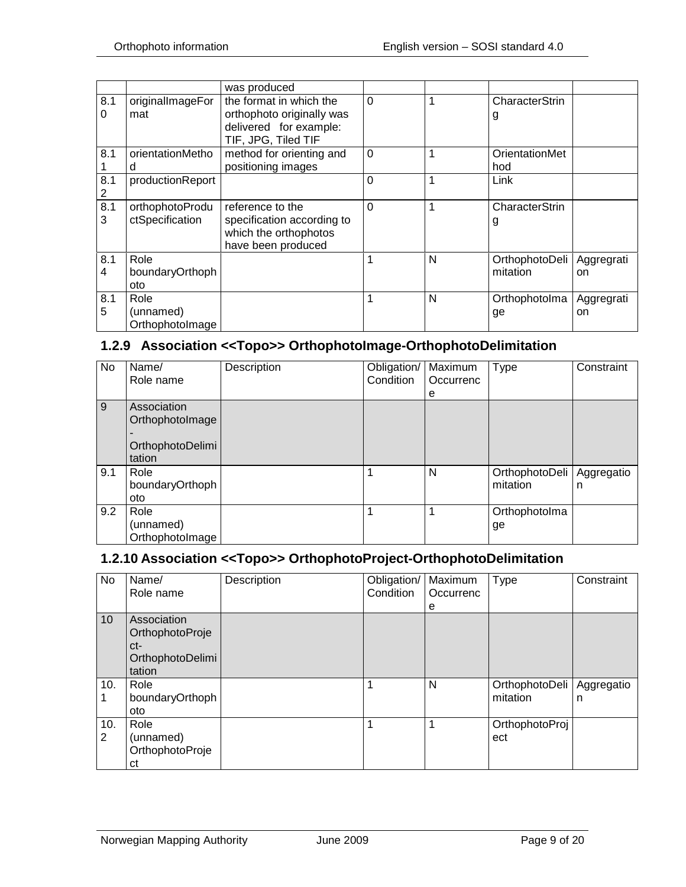|          |                                      | was produced                                                                                          |                |   |                              |                  |
|----------|--------------------------------------|-------------------------------------------------------------------------------------------------------|----------------|---|------------------------------|------------------|
| 8.1<br>0 | originalImageFor<br>mat              | the format in which the<br>orthophoto originally was<br>delivered for example:<br>TIF, JPG, Tiled TIF | $\Omega$       | 1 | CharacterStrin<br>g          |                  |
| 8.1      | orientationMetho<br>d                | method for orienting and<br>positioning images                                                        | $\overline{0}$ | 1 | <b>OrientationMet</b><br>hod |                  |
| 8.1<br>2 | productionReport                     |                                                                                                       | $\overline{0}$ | 1 | Link                         |                  |
| 8.1<br>3 | orthophotoProdu<br>ctSpecification   | reference to the<br>specification according to<br>which the orthophotos<br>have been produced         | $\Omega$       | 1 | CharacterStrin<br>g          |                  |
| 8.1<br>4 | Role<br>boundaryOrthoph<br>oto       |                                                                                                       | 1              | N | OrthophotoDeli<br>mitation   | Aggregrati<br>on |
| 8.1<br>5 | Role<br>(unnamed)<br>OrthophotoImage |                                                                                                       | 1              | N | Orthophotolma<br>ge          | Aggregrati<br>on |

## <span id="page-8-0"></span>**1.2.9 Association <<Topo>> OrthophotoImage-OrthophotoDelimitation**

| No  | Name/<br>Role name                                           | Description | Obligation/   Maximum<br>Condition | Occurrenc<br>e | <b>Type</b>                | Constraint      |
|-----|--------------------------------------------------------------|-------------|------------------------------------|----------------|----------------------------|-----------------|
| 9   | Association<br>OrthophotoImage<br>OrthophotoDelimi<br>tation |             |                                    |                |                            |                 |
| 9.1 | Role<br>boundaryOrthoph<br>oto                               |             | 1                                  | N              | OrthophotoDeli<br>mitation | Aggregatio<br>n |
| 9.2 | Role<br>(unnamed)<br>OrthophotoImage                         |             | 1                                  | 1              | Orthophotolma<br>ge        |                 |

#### <span id="page-8-1"></span>**1.2.10 Association <<Topo>> OrthophotoProject-OrthophotoDelimitation**

| No       | Name/<br>Role name                                                  | Description | Obligation/<br>Condition | Maximum<br>Occurrenc<br>е | Type                       | Constraint      |
|----------|---------------------------------------------------------------------|-------------|--------------------------|---------------------------|----------------------------|-----------------|
| 10       | Association<br>OrthophotoProje<br>ct-<br>OrthophotoDelimi<br>tation |             |                          |                           |                            |                 |
| 10.      | Role<br>boundaryOrthoph<br>oto                                      |             | 1                        | N                         | OrthophotoDeli<br>mitation | Aggregatio<br>n |
| 10.<br>2 | Role<br>(unnamed)<br>OrthophotoProje<br>сt                          |             | 1                        | 1                         | OrthophotoProj<br>ect      |                 |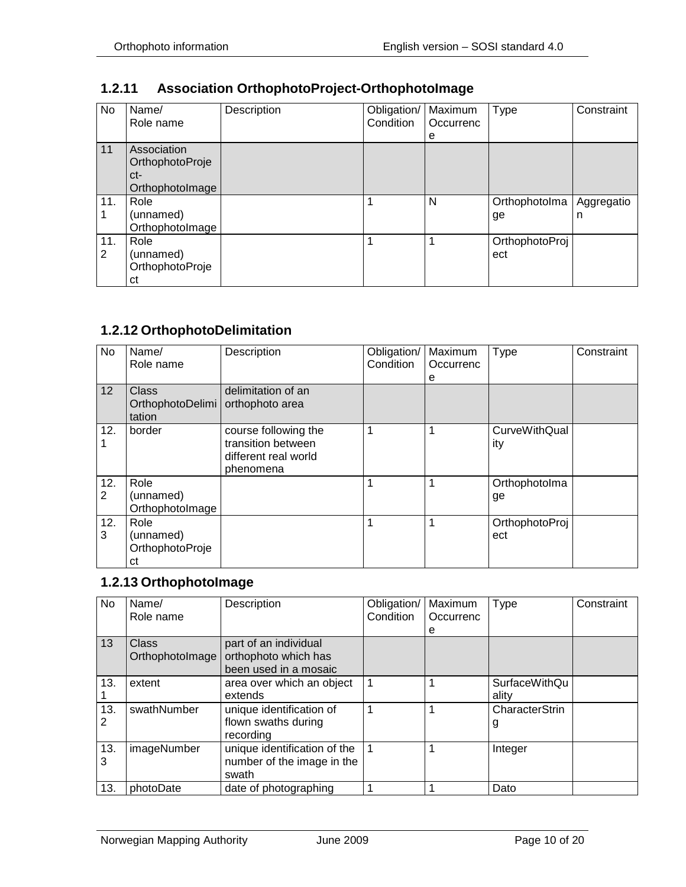| No       | Name/<br>Role name                                       | Description | Obligation/<br>Condition | Maximum<br>Occurrenc<br>е | <b>Type</b>           | Constraint      |
|----------|----------------------------------------------------------|-------------|--------------------------|---------------------------|-----------------------|-----------------|
| 11       | Association<br>OrthophotoProje<br>ct-<br>OrthophotoImage |             |                          |                           |                       |                 |
| 11.      | Role<br>(unnamed)<br>OrthophotoImage                     |             |                          | N                         | Orthophotolma<br>ge   | Aggregatio<br>n |
| 11.<br>2 | Role<br>(unnamed)<br>OrthophotoProje<br>ct               |             |                          |                           | OrthophotoProj<br>ect |                 |

## <span id="page-9-0"></span>**1.2.11 Association OrthophotoProject-OrthophotoImage**

### <span id="page-9-1"></span>**1.2.12 OrthophotoDelimitation**

| No                    | Name/<br>Role name                         | Description                                                                     | Obligation/<br>Condition | Maximum<br>Occurrenc<br>е | <b>Type</b>                 | Constraint |
|-----------------------|--------------------------------------------|---------------------------------------------------------------------------------|--------------------------|---------------------------|-----------------------------|------------|
| 12                    | <b>Class</b><br>OrthophotoDelimi<br>tation | delimitation of an<br>orthophoto area                                           |                          |                           |                             |            |
| 12.                   | border                                     | course following the<br>transition between<br>different real world<br>phenomena |                          |                           | <b>CurveWithQual</b><br>ity |            |
| 12.<br>$\overline{2}$ | Role<br>(unnamed)<br>OrthophotoImage       |                                                                                 |                          |                           | Orthophotolma<br>ge         |            |
| 12.<br>3              | Role<br>(unnamed)<br>OrthophotoProje<br>сt |                                                                                 |                          |                           | OrthophotoProj<br>ect       |            |

# <span id="page-9-2"></span>**1.2.13 OrthophotoImage**

| No  | Name/<br>Role name | Description                  | Obligation/<br>Condition | Maximum<br>Occurrenc | <b>Type</b>          | Constraint |
|-----|--------------------|------------------------------|--------------------------|----------------------|----------------------|------------|
|     |                    |                              |                          | е                    |                      |            |
| 13  | Class              | part of an individual        |                          |                      |                      |            |
|     | OrthophotoImage    | orthophoto which has         |                          |                      |                      |            |
|     |                    | been used in a mosaic        |                          |                      |                      |            |
| 13. | extent             | area over which an object    |                          |                      | <b>SurfaceWithQu</b> |            |
|     |                    | extends                      |                          |                      | ality                |            |
| 13. | swathNumber        | unique identification of     |                          |                      | CharacterStrin       |            |
| 2   |                    | flown swaths during          |                          |                      | g                    |            |
|     |                    | recording                    |                          |                      |                      |            |
| 13. | imageNumber        | unique identification of the |                          |                      | Integer              |            |
| 3   |                    | number of the image in the   |                          |                      |                      |            |
|     |                    | swath                        |                          |                      |                      |            |
| 13. | photoDate          | date of photographing        |                          |                      | Dato                 |            |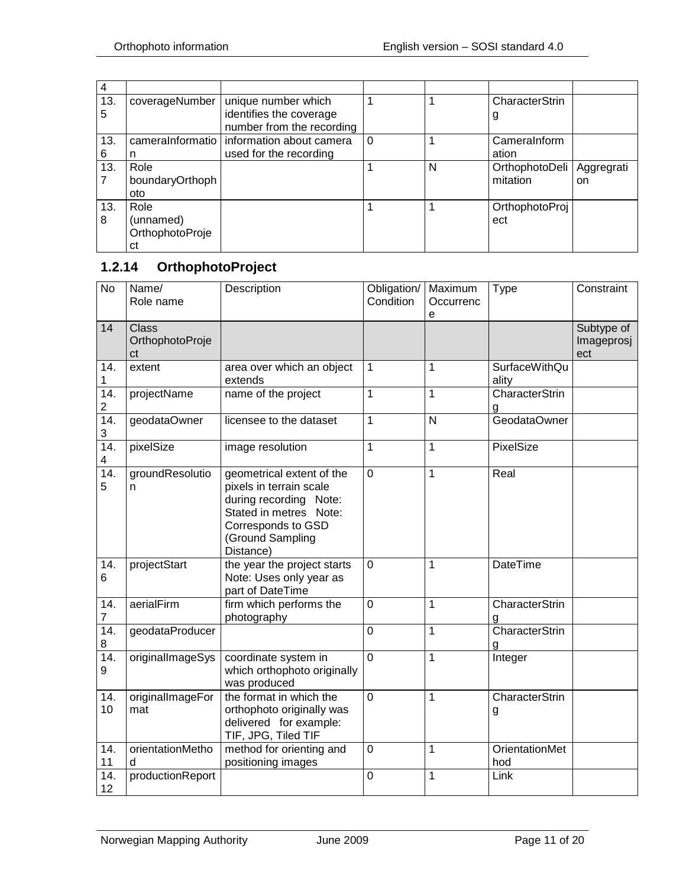| 4        |                 |                                                |   |   |                |            |
|----------|-----------------|------------------------------------------------|---|---|----------------|------------|
| 13.<br>5 | coverageNumber  | unique number which<br>identifies the coverage |   |   | CharacterStrin |            |
|          |                 | number from the recording                      |   |   | g              |            |
| 13.      |                 | cameralnformatio   information about camera    | 0 |   | Cameralnform   |            |
| 6        | n               | used for the recording                         |   |   | ation          |            |
| 13.      | Role            |                                                |   | N | OrthophotoDeli | Aggregrati |
|          | boundaryOrthoph |                                                |   |   | mitation       | on         |
|          | oto             |                                                |   |   |                |            |
| 13.      | Role            |                                                |   |   | OrthophotoProj |            |
| 8        | (unnamed)       |                                                |   |   | ect            |            |
|          | OrthophotoProje |                                                |   |   |                |            |
|          | сt              |                                                |   |   |                |            |

# <span id="page-10-0"></span>**1.2.14 OrthophotoProject**

| $\overline{N}$         | Name/<br>Role name                    | Description                                                                                                                                                     | Obligation/<br>Condition | Maximum<br>Occurrenc<br>е | <b>Type</b>                   | Constraint                      |
|------------------------|---------------------------------------|-----------------------------------------------------------------------------------------------------------------------------------------------------------------|--------------------------|---------------------------|-------------------------------|---------------------------------|
| 14                     | <b>Class</b><br>OrthophotoProje<br>ct |                                                                                                                                                                 |                          |                           |                               | Subtype of<br>Imageprosj<br>ect |
| 14.<br>1               | extent                                | area over which an object<br>extends                                                                                                                            | $\mathbf{1}$             | 1                         | <b>SurfaceWithQu</b><br>ality |                                 |
| 14.<br>$\overline{c}$  | projectName                           | name of the project                                                                                                                                             | $\overline{1}$           | $\overline{1}$            | CharacterStrin<br>g           |                                 |
| $\overline{14}$ .<br>3 | geodataOwner                          | licensee to the dataset                                                                                                                                         | $\mathbf{1}$             | N                         | GeodataOwner                  |                                 |
| 14.<br>4               | pixelSize                             | image resolution                                                                                                                                                | $\mathbf 1$              | 1                         | PixelSize                     |                                 |
| 14.<br>5               | groundResolutio<br>n                  | geometrical extent of the<br>pixels in terrain scale<br>during recording Note:<br>Stated in metres Note:<br>Corresponds to GSD<br>(Ground Sampling<br>Distance) | $\mathbf 0$              | $\mathbf{1}$              | Real                          |                                 |
| 14.<br>6               | projectStart                          | the year the project starts<br>Note: Uses only year as<br>part of DateTime                                                                                      | $\overline{0}$           | 1                         | <b>DateTime</b>               |                                 |
| 14.<br>$\overline{7}$  | aerialFirm                            | firm which performs the<br>photography                                                                                                                          | $\overline{0}$           | 1                         | CharacterStrin<br>g           |                                 |
| 14.<br>8               | geodataProducer                       |                                                                                                                                                                 | $\overline{0}$           | $\mathbf{1}$              | CharacterStrin<br>a           |                                 |
| 14.<br>9               | originalImageSys                      | coordinate system in<br>which orthophoto originally<br>was produced                                                                                             | $\overline{0}$           | $\mathbf{1}$              | Integer                       |                                 |
| 14.<br>10              | originalImageFor<br>mat               | the format in which the<br>orthophoto originally was<br>delivered for example:<br>TIF, JPG, Tiled TIF                                                           | $\mathbf 0$              | 1                         | CharacterStrin<br>g           |                                 |
| 14.<br>11              | orientationMetho<br>d                 | method for orienting and<br>positioning images                                                                                                                  | $\mathbf 0$              | 1                         | <b>OrientationMet</b><br>hod  |                                 |
| 14.<br>12              | productionReport                      |                                                                                                                                                                 | $\mathbf 0$              | $\mathbf{1}$              | Link                          |                                 |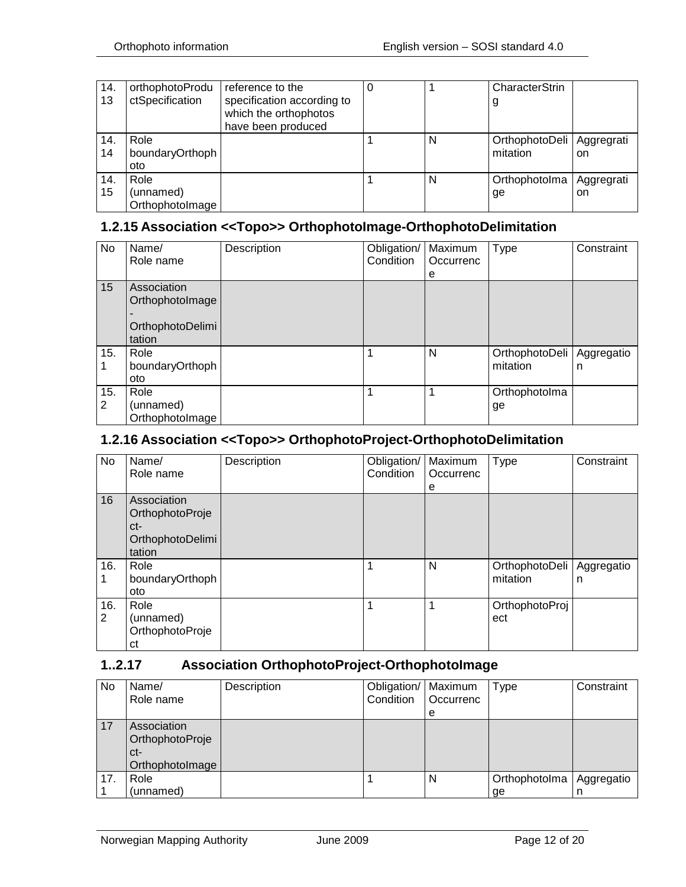| 14. | orthophotoProdu | reference to the           |   | CharacterStrin              |            |
|-----|-----------------|----------------------------|---|-----------------------------|------------|
| 13  | ctSpecification | specification according to |   | g                           |            |
|     |                 | which the orthophotos      |   |                             |            |
|     |                 | have been produced         |   |                             |            |
| 14. | Role            |                            | N | OrthophotoDeli   Aggregrati |            |
| 14  | boundaryOrthoph |                            |   | mitation                    | on.        |
|     | oto             |                            |   |                             |            |
| 14. | Role            |                            | N | Orthophotolma               | Aggregrati |
| 15  | (unnamed)       |                            |   | ge                          | on         |
|     | OrthophotoImage |                            |   |                             |            |

#### <span id="page-11-0"></span>**1.2.15 Association <<Topo>> OrthophotoImage-OrthophotoDelimitation**

| No       | Name/<br>Role name                                           | Description | Obligation/<br>Condition | Maximum<br>Occurrenc<br>е | <b>Type</b>                | Constraint      |
|----------|--------------------------------------------------------------|-------------|--------------------------|---------------------------|----------------------------|-----------------|
| 15       | Association<br>OrthophotoImage<br>OrthophotoDelimi<br>tation |             |                          |                           |                            |                 |
| 15.      | Role<br>boundaryOrthoph<br>oto                               |             |                          | N                         | OrthophotoDeli<br>mitation | Aggregatio<br>n |
| 15.<br>2 | Role<br>(unnamed)<br>OrthophotoImage                         |             |                          |                           | Orthophotolma<br>ge        |                 |

#### <span id="page-11-1"></span>**1.2.16 Association <<Topo>> OrthophotoProject-OrthophotoDelimitation**

| No       | Name/<br>Role name                                                  | Description | Obligation/<br>Condition | Maximum<br>Occurrenc<br>е | <b>Type</b>                | Constraint      |
|----------|---------------------------------------------------------------------|-------------|--------------------------|---------------------------|----------------------------|-----------------|
| 16       | Association<br>OrthophotoProje<br>ct-<br>OrthophotoDelimi<br>tation |             |                          |                           |                            |                 |
| 16.      | Role<br>boundaryOrthoph<br>oto                                      |             | 1                        | N                         | OrthophotoDeli<br>mitation | Aggregatio<br>n |
| 16.<br>2 | Role<br>(unnamed)<br>OrthophotoProje<br>сt                          |             | 1                        | 1                         | OrthophotoProj<br>ect      |                 |

#### <span id="page-11-2"></span>**1..2.17 Association OrthophotoProject-OrthophotoImage**

| No  | Name/<br>Role name                                       | Description | Obligation/   Maximum<br>Condition | Occurrenc | Type          | Constraint |
|-----|----------------------------------------------------------|-------------|------------------------------------|-----------|---------------|------------|
|     |                                                          |             |                                    | е         |               |            |
| 17  | Association<br>OrthophotoProje<br>ct-<br>OrthophotoImage |             |                                    |           |               |            |
| 17. | Role                                                     |             |                                    | N         | Orthophotolma | Aggregatio |
|     | (unnamed)                                                |             |                                    |           | ge            | n          |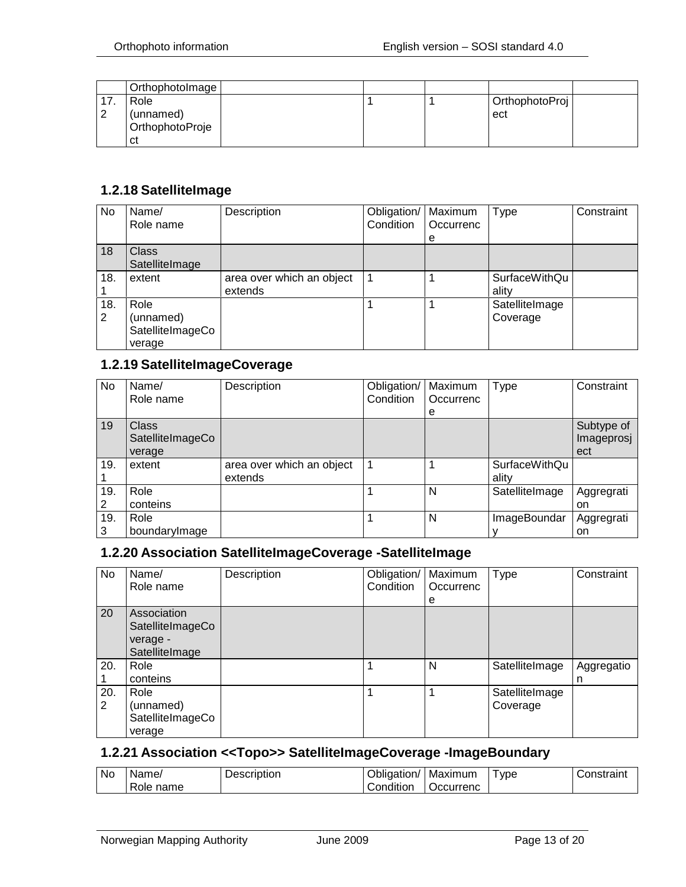|   | OrthophotoImage                            |  |                       |  |
|---|--------------------------------------------|--|-----------------------|--|
| ⌒ | Role<br>(unnamed)<br>OrthophotoProje<br>сt |  | OrthophotoProj<br>ect |  |

#### <span id="page-12-0"></span>**1.2.18 SatelliteImage**

| <b>No</b> | Name/<br>Role name                              | Description                          | Obligation/<br>Condition | Maximum<br>Occurrenc | Type                       | Constraint |
|-----------|-------------------------------------------------|--------------------------------------|--------------------------|----------------------|----------------------------|------------|
|           |                                                 |                                      |                          | e                    |                            |            |
| 18        | <b>Class</b><br>SatelliteImage                  |                                      |                          |                      |                            |            |
| 18.       | extent                                          | area over which an object<br>extends |                          |                      | SurfaceWithQu<br>ality     |            |
| 18.<br>2  | Role<br>(unnamed)<br>SatelliteImageCo<br>verage |                                      |                          |                      | SatelliteImage<br>Coverage |            |

#### <span id="page-12-1"></span>**1.2.19 SatelliteImageCoverage**

| No  | Name/            | Description               | Obligation/ | Maximum   | <b>Type</b>          | Constraint |
|-----|------------------|---------------------------|-------------|-----------|----------------------|------------|
|     | Role name        |                           | Condition   | Occurrenc |                      |            |
|     |                  |                           |             | e         |                      |            |
| 19  | <b>Class</b>     |                           |             |           |                      | Subtype of |
|     | SatelliteImageCo |                           |             |           |                      | Imageprosj |
|     | verage           |                           |             |           |                      | ect        |
| 19. | extent           | area over which an object |             |           | <b>SurfaceWithQu</b> |            |
|     |                  | extends                   |             |           | ality                |            |
| 19. | Role             |                           |             | N         | SatelliteImage       | Aggregrati |
| 2   | conteins         |                           |             |           |                      | on         |
| 19. | Role             |                           |             | N         | ImageBoundar         | Aggregrati |
| 3   | boundarylmage    |                           |             |           |                      | on         |

#### <span id="page-12-2"></span>**1.2.20 Association SatelliteImageCoverage -SatelliteImage**

| No       | Name/<br>Role name                                            | Description | Obligation/<br>Condition | Maximum<br>Occurrenc<br>e | Type                       | Constraint      |
|----------|---------------------------------------------------------------|-------------|--------------------------|---------------------------|----------------------------|-----------------|
| 20       | Association<br>SatelliteImageCo<br>verage -<br>SatelliteImage |             |                          |                           |                            |                 |
| 20.      | Role<br>conteins                                              |             |                          | N                         | SatelliteImage             | Aggregatio<br>n |
| 20.<br>2 | Role<br>(unnamed)<br>SatelliteImageCo<br>verage               |             |                          |                           | SatelliteImage<br>Coverage |                 |

#### <span id="page-12-3"></span>**1.2.21 Association <<Topo>> SatelliteImageCoverage -ImageBoundary**

| <b>No</b> | Name/        | Description | Obligation/ | Maximum   | ype | Constraint |
|-----------|--------------|-------------|-------------|-----------|-----|------------|
|           | Role<br>name |             | Condition   | Occurrenc |     |            |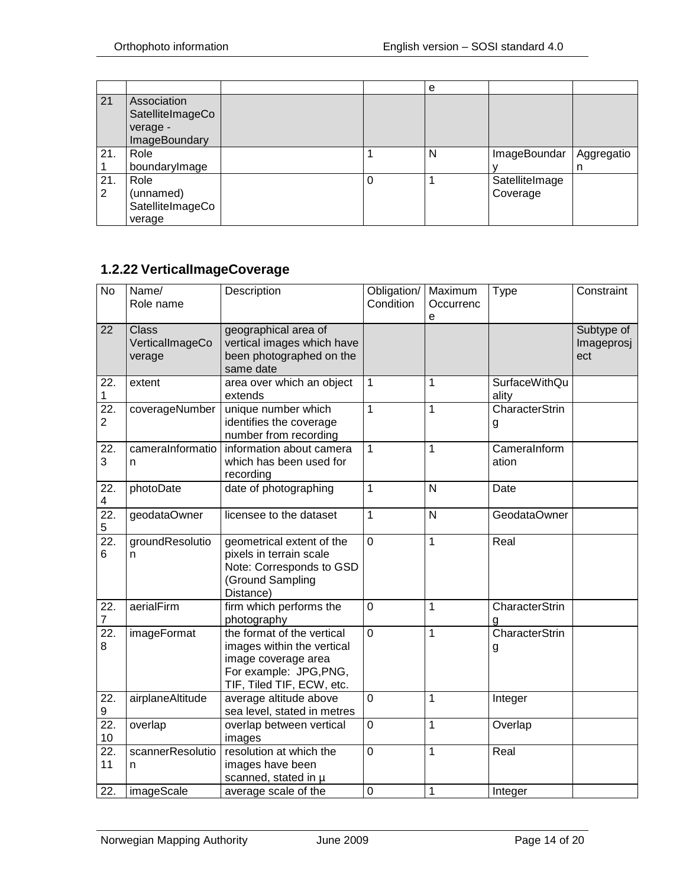|     |                                                              |   | е |                |            |
|-----|--------------------------------------------------------------|---|---|----------------|------------|
| 21  | Association<br>SatelliteImageCo<br>verage -<br>ImageBoundary |   |   |                |            |
| 21. | Role<br>boundarylmage                                        |   | N | ImageBoundar   | Aggregatio |
| 21. | Role                                                         | 0 |   | SatelliteImage | n          |
| 2   | (unnamed)                                                    |   |   | Coverage       |            |
|     | SatelliteImageCo                                             |   |   |                |            |
|     | verage                                                       |   |   |                |            |

# <span id="page-13-0"></span>**1.2.22 VerticalImageCoverage**

| <b>No</b>                           | Name/<br>Role name                 | Description                                                                                                                            | Obligation/<br>Condition | Maximum<br>Occurrenc<br>e | <b>Type</b>            | Constraint                      |
|-------------------------------------|------------------------------------|----------------------------------------------------------------------------------------------------------------------------------------|--------------------------|---------------------------|------------------------|---------------------------------|
| 22                                  | Class<br>VerticalImageCo<br>verage | geographical area of<br>vertical images which have<br>been photographed on the<br>same date                                            |                          |                           |                        | Subtype of<br>Imageprosj<br>ect |
| 22.<br>$\mathbf 1$                  | extent                             | area over which an object<br>extends                                                                                                   | 1                        | 1                         | SurfaceWithQu<br>ality |                                 |
| $\overline{22}$ .<br>$\overline{2}$ | coverageNumber                     | unique number which<br>identifies the coverage<br>number from recording                                                                | $\mathbf{1}$             | 1                         | CharacterStrin<br>g    |                                 |
| 22.<br>3                            | cameralnformatio<br>n              | information about camera<br>which has been used for<br>recording                                                                       | 1                        | 1                         | Cameralnform<br>ation  |                                 |
| 22.<br>4                            | photoDate                          | date of photographing                                                                                                                  | 1                        | N                         | Date                   |                                 |
| $\overline{22}$ .<br>5              | geodataOwner                       | licensee to the dataset                                                                                                                | $\mathbf{1}$             | N                         | GeodataOwner           |                                 |
| $\overline{22}$ .<br>6              | groundResolutio<br>n               | geometrical extent of the<br>pixels in terrain scale<br>Note: Corresponds to GSD<br>(Ground Sampling<br>Distance)                      | $\overline{0}$           | 1                         | Real                   |                                 |
| 22.<br>$\overline{7}$               | aerialFirm                         | firm which performs the<br>photography                                                                                                 | $\overline{0}$           | $\mathbf 1$               | CharacterStrin<br>g    |                                 |
| 22.<br>8                            | imageFormat                        | the format of the vertical<br>images within the vertical<br>image coverage area<br>For example: JPG, PNG,<br>TIF, Tiled TIF, ECW, etc. | $\overline{0}$           | $\overline{1}$            | CharacterStrin<br>g    |                                 |
| 22.<br>9                            | airplaneAltitude                   | average altitude above<br>sea level, stated in metres                                                                                  | $\mathbf 0$              | $\mathbf 1$               | Integer                |                                 |
| 22.<br>10                           | overlap                            | overlap between vertical<br>images                                                                                                     | $\mathbf 0$              | 1                         | Overlap                |                                 |
| $\overline{22}$ .<br>11             | scannerResolutio<br>n              | resolution at which the<br>images have been<br>scanned, stated in µ                                                                    | $\overline{0}$           | $\mathbf 1$               | Real                   |                                 |
| 22.                                 | imageScale                         | average scale of the                                                                                                                   | $\mathbf 0$              | 1                         | Integer                |                                 |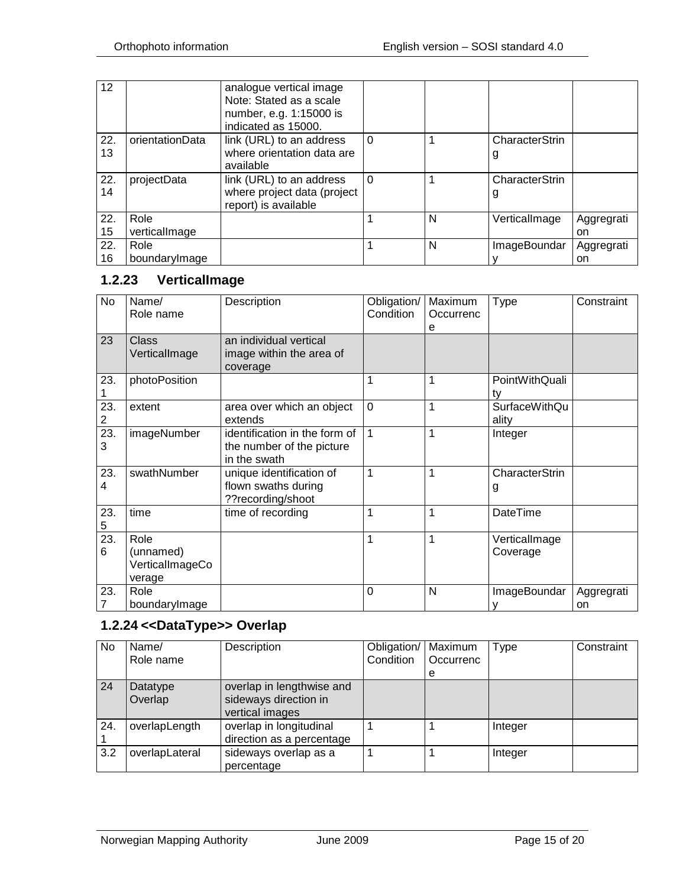| 12  |                 | analogue vertical image<br>Note: Stated as a scale<br>number, e.g. 1:15000 is<br>indicated as 15000. |          |   |                |            |
|-----|-----------------|------------------------------------------------------------------------------------------------------|----------|---|----------------|------------|
| 22. | orientationData | link (URL) to an address                                                                             | $\Omega$ |   | CharacterStrin |            |
| 13  |                 | where orientation data are                                                                           |          |   | g              |            |
|     |                 | available                                                                                            |          |   |                |            |
| 22. | projectData     | link (URL) to an address                                                                             | $\Omega$ |   | CharacterStrin |            |
| 14  |                 | where project data (project                                                                          |          |   | g              |            |
|     |                 | report) is available                                                                                 |          |   |                |            |
| 22. | Role            |                                                                                                      |          | N | VerticalImage  | Aggregrati |
| 15  | verticallmage   |                                                                                                      |          |   |                | on         |
| 22. | Role            |                                                                                                      |          | N | ImageBoundar   | Aggregrati |
| 16  | boundarylmage   |                                                                                                      |          |   |                | on         |

# <span id="page-14-0"></span>**1.2.23 VerticalImage**

| No       | Name/<br>Role name                             | Description                                                                | Obligation/<br>Condition | Maximum<br>Occurrenc<br>e | <b>Type</b>                   | Constraint       |
|----------|------------------------------------------------|----------------------------------------------------------------------------|--------------------------|---------------------------|-------------------------------|------------------|
| 23       | <b>Class</b><br>VerticalImage                  | an individual vertical<br>image within the area of<br>coverage             |                          |                           |                               |                  |
| 23.      | photoPosition                                  |                                                                            | 1                        | 1                         | PointWithQuali<br>ty          |                  |
| 23.<br>2 | extent                                         | area over which an object<br>extends                                       | $\mathbf 0$              | 1                         | <b>SurfaceWithQu</b><br>ality |                  |
| 23.<br>3 | imageNumber                                    | identification in the form of<br>the number of the picture<br>in the swath | $\mathbf{1}$             | 1                         | Integer                       |                  |
| 23.<br>4 | swathNumber                                    | unique identification of<br>flown swaths during<br>??recording/shoot       | 1                        | 1                         | CharacterStrin<br>g           |                  |
| 23.<br>5 | time                                           | time of recording                                                          | 1                        | 1                         | <b>DateTime</b>               |                  |
| 23.<br>6 | Role<br>(unnamed)<br>VerticalImageCo<br>verage |                                                                            | $\mathbf{1}$             | 1                         | VerticalImage<br>Coverage     |                  |
| 23.<br>7 | Role<br>boundarylmage                          |                                                                            | $\mathbf 0$              | N                         | ImageBoundar                  | Aggregrati<br>on |

# <span id="page-14-1"></span>**1.2.24 <<DataType>> Overlap**

| No  | Name/<br>Role name  | Description                                                           | Obligation/<br>Condition | Maximum<br>Occurrenc | Type    | Constraint |
|-----|---------------------|-----------------------------------------------------------------------|--------------------------|----------------------|---------|------------|
| 24  | Datatype<br>Overlap | overlap in lengthwise and<br>sideways direction in<br>vertical images |                          | e                    |         |            |
| 24. | overlapLength       | overlap in longitudinal<br>direction as a percentage                  |                          |                      | Integer |            |
| 3.2 | overlapLateral      | sideways overlap as a<br>percentage                                   |                          |                      | Integer |            |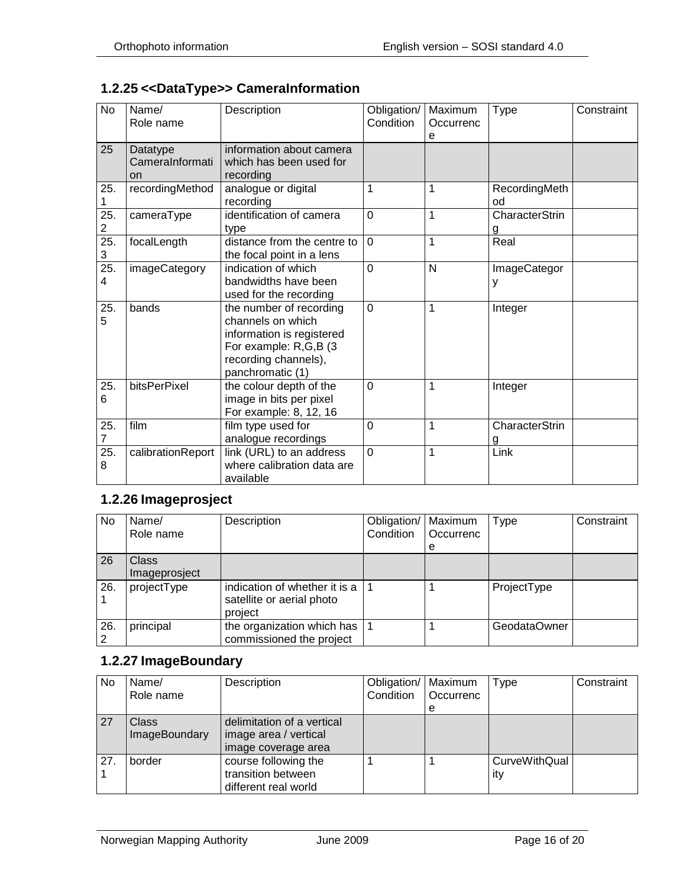# <span id="page-15-0"></span>**1.2.25 <<DataType>> CameraInformation**

| <b>No</b>              | Name/<br>Role name                       | Description                                                                                                                                    | Obligation/<br>Condition | Maximum<br>Occurrenc<br>е | <b>Type</b>                | Constraint |
|------------------------|------------------------------------------|------------------------------------------------------------------------------------------------------------------------------------------------|--------------------------|---------------------------|----------------------------|------------|
| 25                     | Datatype<br>CameraInformati<br><b>on</b> | information about camera<br>which has been used for<br>recording                                                                               |                          |                           |                            |            |
| 25.                    | recordingMethod                          | analogue or digital<br>recording                                                                                                               | $\mathbf{1}$             | $\mathbf{1}$              | RecordingMeth<br>od        |            |
| 25.<br>$\overline{c}$  | cameraType                               | identification of camera<br>type                                                                                                               | $\overline{0}$           | $\mathbf{1}$              | <b>CharacterStrin</b><br>g |            |
| $\overline{25}$ .<br>3 | focalLength                              | distance from the centre to<br>the focal point in a lens                                                                                       | $\Omega$                 | 1                         | Real                       |            |
| 25.<br>4               | imageCategory                            | indication of which<br>bandwidths have been<br>used for the recording                                                                          | $\overline{0}$           | N                         | ImageCategor<br>у          |            |
| 25.<br>5               | bands                                    | the number of recording<br>channels on which<br>information is registered<br>For example: R,G,B (3<br>recording channels),<br>panchromatic (1) | $\Omega$                 | 1                         | Integer                    |            |
| 25.<br>6               | bitsPerPixel                             | the colour depth of the<br>image in bits per pixel<br>For example: 8, 12, 16                                                                   | $\overline{0}$           | 1                         | Integer                    |            |
| 25.<br>7               | film                                     | film type used for<br>analogue recordings                                                                                                      | $\overline{0}$           | $\overline{1}$            | <b>CharacterStrin</b><br>g |            |
| 25.<br>8               | calibrationReport                        | link (URL) to an address<br>where calibration data are<br>available                                                                            | $\overline{0}$           | 1                         | Link                       |            |

#### <span id="page-15-1"></span>**1.2.26 Imageprosject**

| No  | Name/<br>Role name     | Description                                                           | Obligation/<br>Condition | Maximum<br>Occurrenc<br>e | <b>Type</b>  | Constraint |
|-----|------------------------|-----------------------------------------------------------------------|--------------------------|---------------------------|--------------|------------|
| 26  | Class<br>Imageprosject |                                                                       |                          |                           |              |            |
| 26. | projectType            | indication of whether it is a<br>satellite or aerial photo<br>project |                          |                           | ProjectType  |            |
| 26. | principal              | the organization which has $ $<br>commissioned the project            |                          |                           | GeodataOwner |            |

#### <span id="page-15-2"></span>**1.2.27 ImageBoundary**

| No  | Name/<br>Role name                   | Description                                                                | Obligation/   Maximum<br>Condition | Occurrenc<br>е | Type                        | Constraint |
|-----|--------------------------------------|----------------------------------------------------------------------------|------------------------------------|----------------|-----------------------------|------------|
| 27  | <b>Class</b><br><b>ImageBoundary</b> | delimitation of a vertical<br>image area / vertical<br>image coverage area |                                    |                |                             |            |
| 27. | border                               | course following the<br>transition between<br>different real world         |                                    |                | <b>CurveWithQual</b><br>ity |            |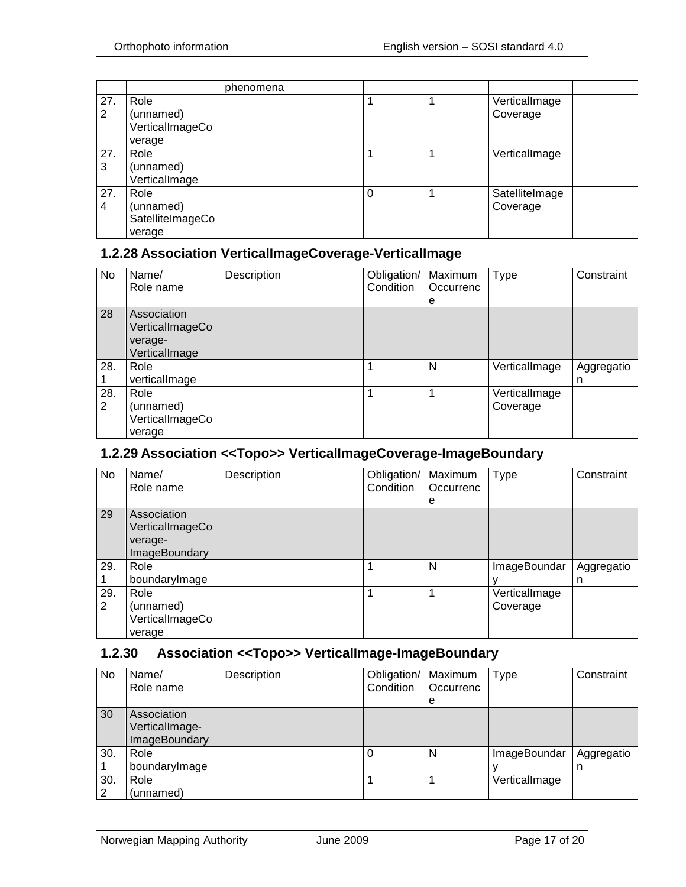|          |                                                 | phenomena |   |                            |  |
|----------|-------------------------------------------------|-----------|---|----------------------------|--|
| 27.<br>2 | Role<br>(unnamed)<br>VerticalImageCo<br>verage  |           |   | VerticalImage<br>Coverage  |  |
| 27.<br>3 | Role<br>(unnamed)<br>VerticalImage              |           |   | VerticalImage              |  |
| 27.<br>4 | Role<br>(unnamed)<br>SatelliteImageCo<br>verage |           | 0 | SatelliteImage<br>Coverage |  |

#### <span id="page-16-0"></span>**1.2.28 Association VerticalImageCoverage-VerticalImage**

| No  | Name/           | Description | Obligation/ | Maximum   | <b>Type</b>   | Constraint |
|-----|-----------------|-------------|-------------|-----------|---------------|------------|
|     | Role name       |             | Condition   | Occurrenc |               |            |
|     |                 |             |             | е         |               |            |
| 28  | Association     |             |             |           |               |            |
|     | VerticalImageCo |             |             |           |               |            |
|     | verage-         |             |             |           |               |            |
|     | VerticalImage   |             |             |           |               |            |
| 28. | Role            |             |             | N         | VerticalImage | Aggregatio |
|     | verticalImage   |             |             |           |               | n          |
| 28. | Role            |             |             |           | VerticalImage |            |
| 2   | (unnamed)       |             |             |           | Coverage      |            |
|     | VerticalImageCo |             |             |           |               |            |
|     | verage          |             |             |           |               |            |

#### <span id="page-16-1"></span>**1.2.29 Association <<Topo>> VerticalImageCoverage-ImageBoundary**

| No       | Name/<br>Role name                                                | Description | Obligation/<br>Condition | Maximum<br>Occurrenc<br>е | <b>Type</b>               | Constraint      |
|----------|-------------------------------------------------------------------|-------------|--------------------------|---------------------------|---------------------------|-----------------|
| 29       | Association<br>VerticalImageCo<br>verage-<br><b>ImageBoundary</b> |             |                          |                           |                           |                 |
| 29.      | Role<br>boundarylmage                                             |             |                          | N                         | ImageBoundar              | Aggregatio<br>n |
| 29.<br>2 | Role<br>(unnamed)<br>VerticalImageCo<br>verage                    |             |                          |                           | VerticalImage<br>Coverage |                 |

#### <span id="page-16-2"></span>**1.2.30 Association <<Topo>> VerticalImage-ImageBoundary**

| No       | Name/<br>Role name                                    | Description | Obligation/   Maximum<br>Condition | Occurrenc<br>е | Type          | Constraint      |
|----------|-------------------------------------------------------|-------------|------------------------------------|----------------|---------------|-----------------|
| 30       | Association<br>VerticalImage-<br><b>ImageBoundary</b> |             |                                    |                |               |                 |
| 30.      | Role<br>boundarylmage                                 |             |                                    | N              | ImageBoundar  | Aggregatio<br>n |
| 30.<br>2 | Role<br>(unnamed)                                     |             |                                    |                | VerticalImage |                 |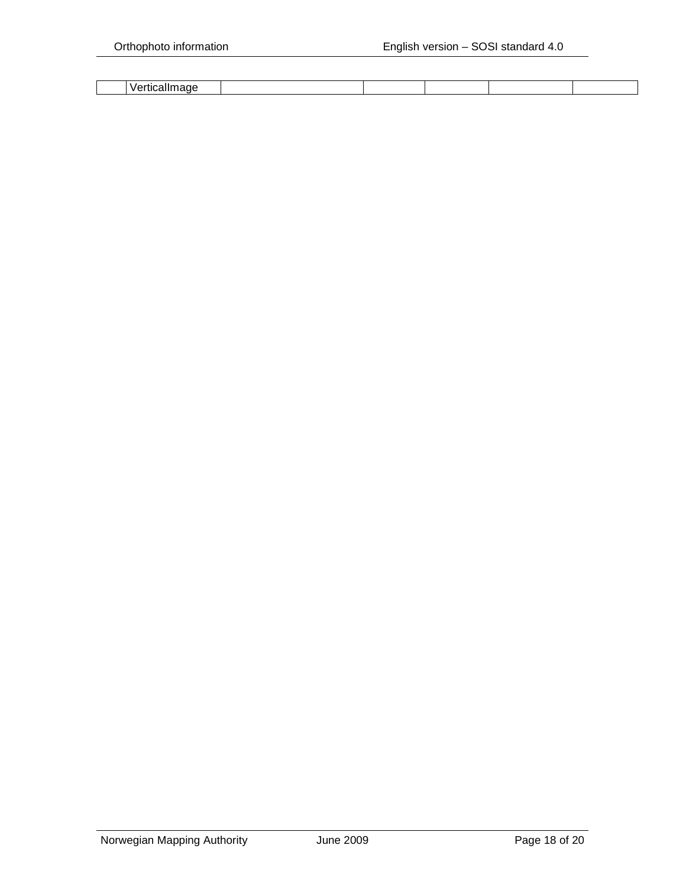| $\mathbf{v}$ |  |  |  |
|--------------|--|--|--|
|              |  |  |  |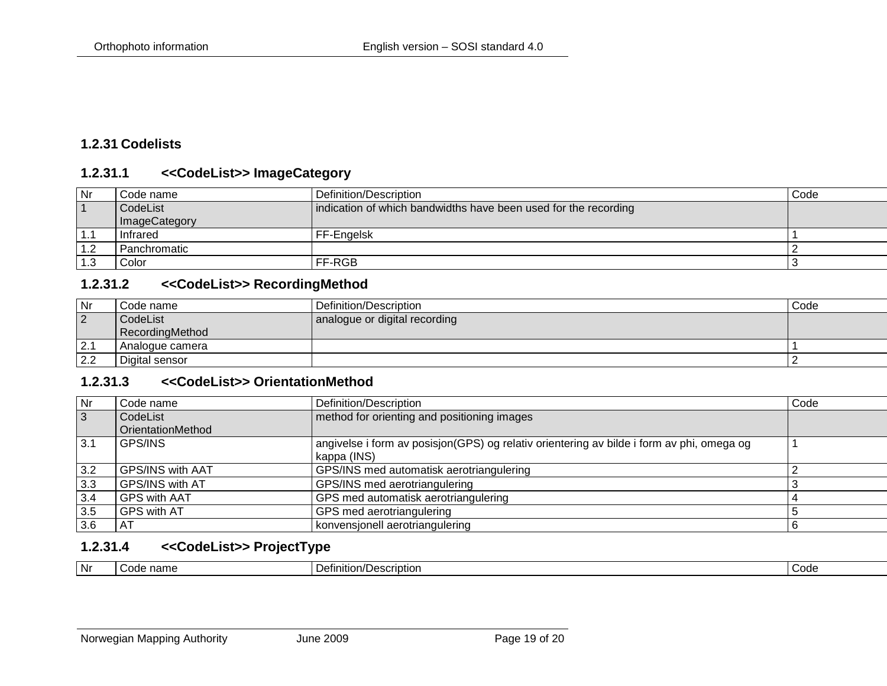## **1.2.31 Codelists**

#### **1.2.31.1 <<CodeList>> ImageCategory**

| Nr  | Code name     | Definition/Description                                          | Code |
|-----|---------------|-----------------------------------------------------------------|------|
|     | CodeList      | indication of which bandwidths have been used for the recording |      |
|     | ImageCategory |                                                                 |      |
| 1.1 | Infrared      | FF-Engelsk                                                      |      |
| 1.2 | Panchromatic  |                                                                 |      |
| 1.3 | Color         | FF-RGB                                                          |      |

#### **1.2.31.2 <<CodeList>> RecordingMethod**

<span id="page-18-0"></span>

| Nr             | Code name       | Definition/Description        | Code |
|----------------|-----------------|-------------------------------|------|
| $\overline{2}$ | CodeList        | analogue or digital recording |      |
|                | RecordingMethod |                               |      |
| 2.1            | Analogue camera |                               |      |
| 2.2            | Digital sensor  |                               |      |

#### <span id="page-18-1"></span>**1.2.31.3 <<CodeList>> OrientationMethod**

| Nr  | Code name               | Definition/Description                                                                                   | Code |
|-----|-------------------------|----------------------------------------------------------------------------------------------------------|------|
| 3   | CodeList                | method for orienting and positioning images                                                              |      |
|     | OrientationMethod       |                                                                                                          |      |
| 3.1 | <b>GPS/INS</b>          | angivelse i form av posisjon(GPS) og relativ orientering av bilde i form av phi, omega og<br>kappa (INS) |      |
| 3.2 | <b>GPS/INS with AAT</b> | GPS/INS med automatisk aerotriangulering                                                                 |      |
| 3.3 | GPS/INS with AT         | GPS/INS med aerotriangulering                                                                            |      |
| 3.4 | <b>GPS with AAT</b>     | GPS med automatisk aerotriangulering                                                                     |      |
| 3.5 | <b>GPS with AT</b>      | GPS med aerotriangulering                                                                                |      |
| 3.6 | AT                      | konvensjonell aerotriangulering                                                                          |      |

#### <span id="page-18-2"></span>**1.2.31.4 <<CodeList>> ProjectType**

<span id="page-18-4"></span><span id="page-18-3"></span>

| Nr<br>Code<br>Definition/Description<br>name<br>$\sim$<br>,,,, |  |
|----------------------------------------------------------------|--|
|----------------------------------------------------------------|--|